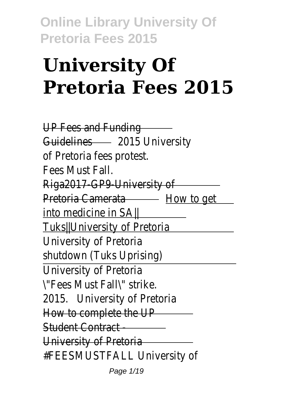# **University Of Pretoria Fees 2015**

UP Fees and Funding Guidelines2015 University of Pretoria fees protest. Fees Must Fall. Riga2017 GP9 University of Pretoria Camerataw to get into medicine in SA|| Tuks||University of Pretoria University of Pretoria shutdown (Tuks Uprising) University of Pretoria \"Fees Must Fall\" strike. 2015. Iniversity of Pretoria How to complete the UP Student Contract - University of Pretoria #FEESMUSTFALL University of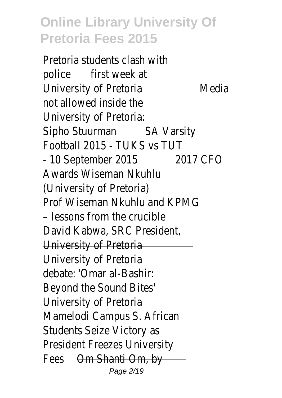Pretoria students clash with police first week at University of PretorMedia not allowed inside the University of Pretoria: Sipho Stuurman Varsity Football 2015 - TUKS vs TUT - 10 September 200157 CFO Awards Wiseman Nkuhlu (University of Pretoria) Prof Wiseman Nkuhlu and KPN – lessons from the crucible David Kabwa, SRC President, University of Pretoria University of Pretoria debate: 'Omar al-Bashir: Beyond the Sound Bites' University of Pretoria Mamelodi Campus S. African Students Seize Victory as President Freezes University Fees Om Shanti Om, by Page 2/19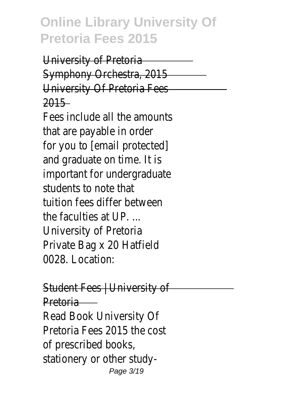University of Pretoria Symphony Orchestra, 2015 University Of Pretoria Fees 2015

Fees include all the amounts that are payable in order for you to [email protected] and graduate on time. It is important for undergraduate students to note that tuition fees differ between the faculties at UP. ... University of Pretoria Private Bag x 20 Hatfield 0028. Location:

Student Fees | University of Pretoria

Read Book University Of Pretoria Fees 2015 the cost of prescribed books, stationery or other study-Page 3/19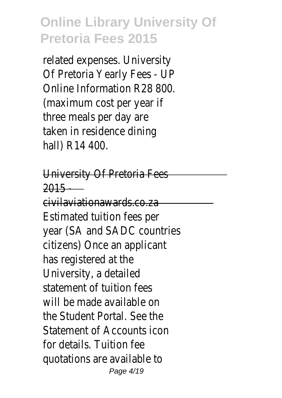related expenses. University Of Pretoria Yearly Fees - UP Online Information R28 800. (maximum cost per year if three meals per day are taken in residence dining hall) R14 400.

University Of Pretoria Fees 2015 -

civilaviationawards.co.za Estimated tuition fees per year (SA and SADC countries citizens) Once an applicant has registered at the University, a detailed statement of tuition fees will be made available on the Student Portal. See the Statement of Accounts icon for details. Tuition fee quotations are available to Page 4/19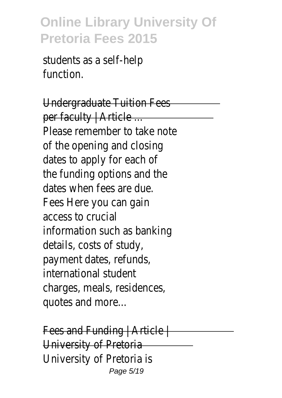students as a self-help function.

Undergraduate Tuition Fees per faculty | Article ... Please remember to take note of the opening and closing dates to apply for each of the funding options and the dates when fees are due. Fees Here you can gain access to crucial information such as banking details, costs of study, payment dates, refunds, international student charges, meals, residences, quotes and more...

Fees and Funding | Article | University of Pretoria University of Pretoria is Page 5/19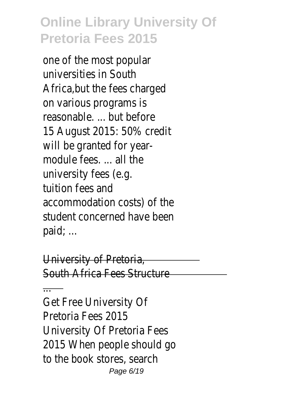one of the most popular universities in South Africa,but the fees charged on various programs is reasonable. ... but before 15 August 2015: 50% credit will be granted for yearmodule fees. ... all the university fees (e.g. tuition fees and accommodation costs) of the student concerned have been paid; ...

University of Pretoria, South Africa Fees Structure

...

Get Free University Of Pretoria Fees 2015 University Of Pretoria Fees 2015 When people should go to the book stores, search Page 6/19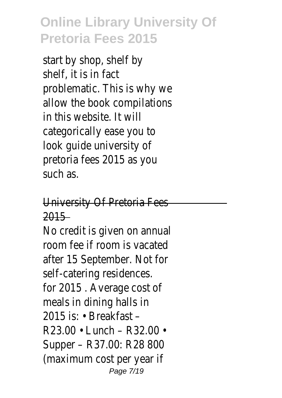start by shop, shelf by shelf, it is in fact problematic. This is why we allow the book compilations in this website. It will categorically ease you to look guide university of pretoria fees 2015 as you such as.

University Of Pretoria Fees 2015

No credit is given on annual room fee if room is vacated after 15 September. Not for self-catering residences. for 2015 . Average cost of meals in dining halls in 2015 is: • Breakfast – R23.00 • Lunch – R32.00 • Supper – R37.00: R28 800 (maximum cost per year if Page 7/19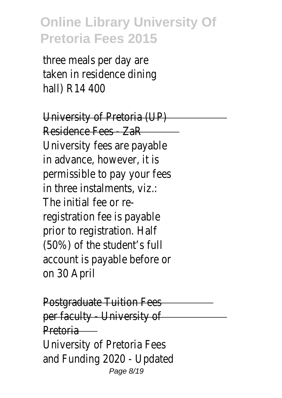three meals per day are taken in residence dining hall) R14 400

University of Pretoria (UP) Residence Fees - ZaR University fees are payable in advance, however, it is permissible to pay your fees in three instalments, viz.: The initial fee or reregistration fee is payable prior to registration. Half (50%) of the student's full account is payable before or on 30 April

Postgraduate Tuition Fees per faculty University of Pretoria University of Pretoria Fees and Funding 2020 - Updated Page 8/19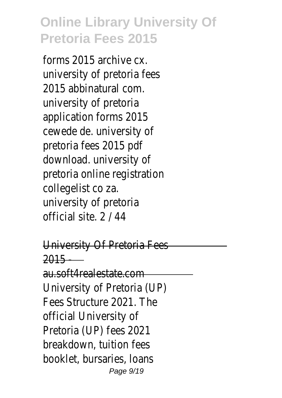forms 2015 archive cx. university of pretoria fees 2015 abbinatural com. university of pretoria application forms 2015 cewede de. university of pretoria fees 2015 pdf download. university of pretoria online registration collegelist co za. university of pretoria official site. 2 / 44

University Of Pretoria Fees 2015 -

au.soft4realestate.com University of Pretoria (UP) Fees Structure 2021. The official University of Pretoria (UP) fees 2021 breakdown, tuition fees booklet, bursaries, loans Page  $9/19$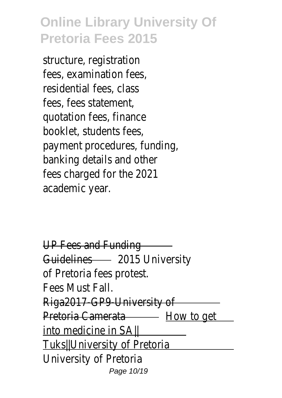structure, registration fees, examination fees, residential fees, class fees, fees statement, quotation fees, finance booklet, students fees, payment procedures, funding, banking details and other fees charged for the 2021 academic year.

UP Fees and Funding Guidelines2015 University of Pretoria fees protest. Fees Must Fall. Riga2017 GP9 University of Pretoria Camerataw to get into medicine in SA|| Tuks||University of Pretoria University of Pretoria Page 10/19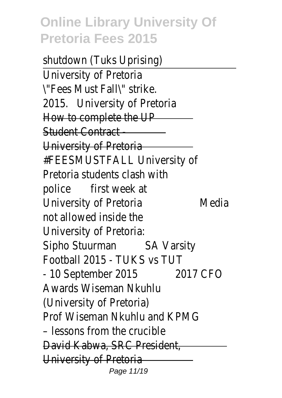shutdown (Tuks Uprising) University of Pretoria \"Fees Must Fall\" strike. 2015. Iniversity of Pretoria How to complete the UP Student Contract - University of Pretoria #FEESMUSTFALL University of Pretoria students clash with police first week at University of PretorMaledia not allowed inside the University of Pretoria: Sipho Stuurman Varsity Football 2015 - TUKS vs TUT - 10 September 200157 CFO Awards Wiseman Nkuhlu (University of Pretoria) Prof Wiseman Nkuhlu and KPN – lessons from the crucible David Kabwa, SRC President, University of Pretoria Page 11/19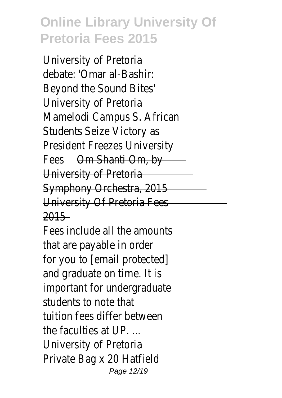University of Pretoria debate: 'Omar al-Bashir: Beyond the Sound Bites' University of Pretoria Mamelodi Campus S. African Students Seize Victory as President Freezes University FeesOm Shanti Om, by University of Pretoria Symphony Orchestra, 2015 University Of Pretoria Fees 2015

Fees include all the amounts that are payable in order for you to [email protected] and graduate on time. It is important for undergraduate students to note that tuition fees differ between the faculties at UP. ... University of Pretoria Private Bag x 20 Hatfield Page 12/19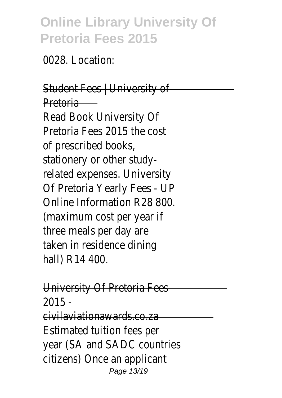0028. Location:

#### Student Fees | University of Pretoria

Read Book University Of Pretoria Fees 2015 the cost of prescribed books, stationery or other studyrelated expenses. University Of Pretoria Yearly Fees - UP Online Information R28 800. (maximum cost per year if three meals per day are taken in residence dining hall) R14 400.

University Of Pretoria Fees 2015 -

civilaviationawards.co.za Estimated tuition fees per year (SA and SADC countries citizens) Once an applicant Page 13/19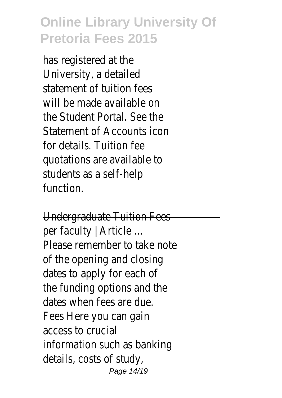has registered at the University, a detailed statement of tuition fees will be made available on the Student Portal. See the Statement of Accounts icon for details. Tuition fee quotations are available to students as a self-help function.

Undergraduate Tuition Fees per faculty | Article ... Please remember to take note of the opening and closing dates to apply for each of the funding options and the dates when fees are due. Fees Here you can gain access to crucial information such as banking details, costs of study, Page 14/19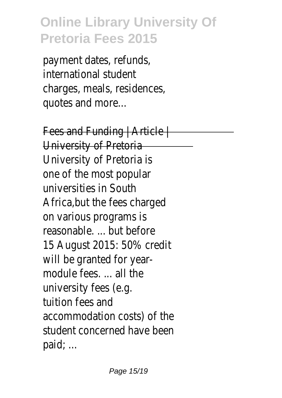payment dates, refunds, international student charges, meals, residences, quotes and more...

Fees and Funding | Article | University of Pretoria University of Pretoria is one of the most popular universities in South Africa,but the fees charged on various programs is reasonable. ... but before 15 August 2015: 50% credit will be granted for yearmodule fees. ... all the university fees (e.g. tuition fees and accommodation costs) of the student concerned have been paid; ...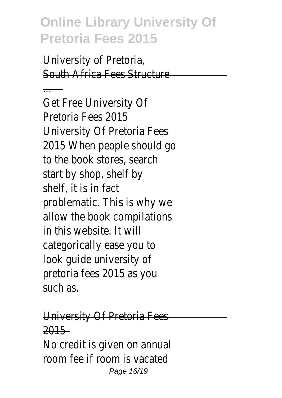University of Pretoria, South Africa Fees Structure

... Get Free University Of Pretoria Fees 2015 University Of Pretoria Fees 2015 When people should go to the book stores, search start by shop, shelf by shelf, it is in fact problematic. This is why we allow the book compilations in this website. It will categorically ease you to look guide university of pretoria fees 2015 as you such as.

University Of Pretoria Fees 2015 No credit is given on annual room fee if room is vacated Page 16/19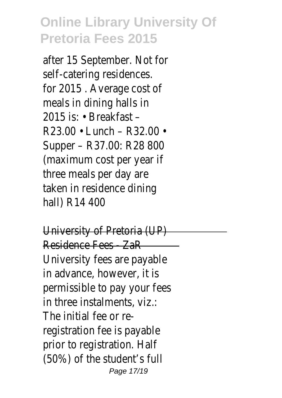after 15 September. Not for self-catering residences. for 2015 . Average cost of meals in dining halls in 2015 is: • Breakfast – R23.00 • Lunch – R32.00 • Supper – R37.00: R28 800 (maximum cost per year if three meals per day are taken in residence dining hall) R14 400

University of Pretoria (UP) Residence Fees - ZaR University fees are payable in advance, however, it is permissible to pay your fees in three instalments, viz.: The initial fee or reregistration fee is payable prior to registration. Half (50%) of the student's full Page 17/19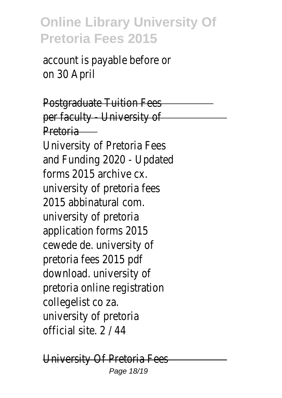account is payable before or on 30 April

Postgraduate Tuition Fees per faculty - University of Pretoria

University of Pretoria Fees and Funding 2020 - Updated forms 2015 archive cx. university of pretoria fees 2015 abbinatural com. university of pretoria application forms 2015 cewede de. university of pretoria fees 2015 pdf download. university of pretoria online registration collegelist co za. university of pretoria official site. 2 / 44

University Of Pretoria Fees Page 18/19